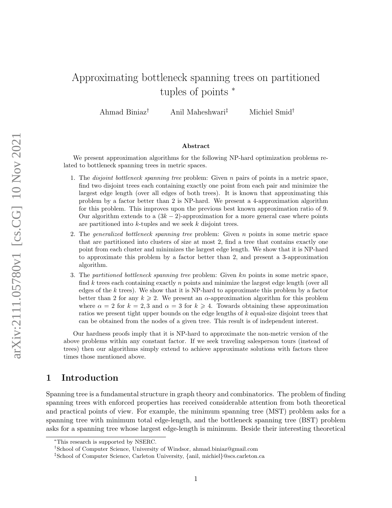# Approximating bottleneck spanning trees on partitioned tuples of points <sup>∗</sup>

Ahmad Biniaz† Anil Maheshwari‡ Michiel Smid†

#### Abstract

We present approximation algorithms for the following NP-hard optimization problems related to bottleneck spanning trees in metric spaces.

- 1. The *disjoint bottleneck spanning tree* problem: Given  $n$  pairs of points in a metric space, find two disjoint trees each containing exactly one point from each pair and minimize the largest edge length (over all edges of both trees). It is known that approximating this problem by a factor better than 2 is NP-hard. We present a 4-approximation algorithm for this problem. This improves upon the previous best known approximation ratio of 9. Our algorithm extends to a  $(3k-2)$ -approximation for a more general case where points are partitioned into k-tuples and we seek k disjoint trees.
- 2. The *generalized bottleneck spanning tree* problem: Given  $n$  points in some metric space that are partitioned into clusters of size at most 2, find a tree that contains exactly one point from each cluster and minimizes the largest edge length. We show that it is NP-hard to approximate this problem by a factor better than 2, and present a 3-approximation algorithm.
- 3. The partitioned bottleneck spanning tree problem: Given  $kn$  points in some metric space, find k trees each containing exactly n points and minimize the largest edge length (over all edges of the k trees). We show that it is NP-hard to approximate this problem by a factor better than 2 for any  $k \ge 2$ . We present an  $\alpha$ -approximation algorithm for this problem where  $\alpha = 2$  for  $k = 2, 3$  and  $\alpha = 3$  for  $k \ge 4$ . Towards obtaining these approximation ratios we present tight upper bounds on the edge lengths of k equal-size disjoint trees that can be obtained from the nodes of a given tree. This result is of independent interest.

Our hardness proofs imply that it is NP-hard to approximate the non-metric version of the above problems within any constant factor. If we seek traveling salesperson tours (instead of trees) then our algorithms simply extend to achieve approximate solutions with factors three times those mentioned above.

### 1 Introduction

Spanning tree is a fundamental structure in graph theory and combinatorics. The problem of finding spanning trees with enforced properties has received considerable attention from both theoretical and practical points of view. For example, the minimum spanning tree (MST) problem asks for a spanning tree with minimum total edge-length, and the bottleneck spanning tree (BST) problem asks for a spanning tree whose largest edge-length is minimum. Beside their interesting theoretical

<sup>∗</sup>This research is supported by NSERC.

<sup>†</sup>School of Computer Science, University of Windsor, ahmad.biniaz@gmail.com

<sup>‡</sup>School of Computer Science, Carleton University, {anil, michiel}@scs.carleton.ca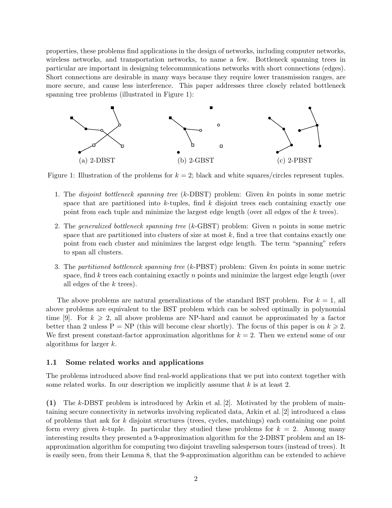properties, these problems find applications in the design of networks, including computer networks, wireless networks, and transportation networks, to name a few. Bottleneck spanning trees in particular are important in designing telecommunications networks with short connections (edges). Short connections are desirable in many ways because they require lower transmission ranges, are more secure, and cause less interference. This paper addresses three closely related bottleneck spanning tree problems (illustrated in Figure [1\)](#page-1-0):



<span id="page-1-0"></span>Figure 1: Illustration of the problems for  $k = 2$ ; black and white squares/circles represent tuples.

- 1. The disjoint bottleneck spanning tree (k-DBST) problem: Given kn points in some metric space that are partitioned into  $k$ -tuples, find  $k$  disjoint trees each containing exactly one point from each tuple and minimize the largest edge length (over all edges of the k trees).
- 2. The generalized bottleneck spanning tree (k-GBST) problem: Given n points in some metric space that are partitioned into clusters of size at most  $k$ , find a tree that contains exactly one point from each cluster and minimizes the largest edge length. The term "spanning" refers to span all clusters.
- 3. The partitioned bottleneck spanning tree (k-PBST) problem: Given kn points in some metric space, find k trees each containing exactly  $n$  points and minimize the largest edge length (over all edges of the k trees).

The above problems are natural generalizations of the standard BST problem. For  $k = 1$ , all above problems are equivalent to the BST problem which can be solved optimally in polynomial time [\[9\]](#page-15-0). For  $k \geq 2$ , all above problems are NP-hard and cannot be approximated by a factor better than 2 unless  $P = NP$  (this will become clear shortly). The focus of this paper is on  $k \ge 2$ . We first present constant-factor approximation algorithms for  $k = 2$ . Then we extend some of our algorithms for larger k.

#### 1.1 Some related works and applications

The problems introduced above find real-world applications that we put into context together with some related works. In our description we implicitly assume that  $k$  is at least 2.

(1) The k-DBST problem is introduced by Arkin et al. [\[2\]](#page-15-1). Motivated by the problem of maintaining secure connectivity in networks involving replicated data, Arkin et al.[\[2\]](#page-15-1) introduced a class of problems that ask for k disjoint structures (trees, cycles, matchings) each containing one point form every given k-tuple. In particular they studied these problems for  $k = 2$ . Among many interesting results they presented a 9-approximation algorithm for the 2-DBST problem and an 18 approximation algorithm for computing two disjoint traveling salesperson tours (instead of trees). It is easily seen, from their Lemma 8, that the 9-approximation algorithm can be extended to achieve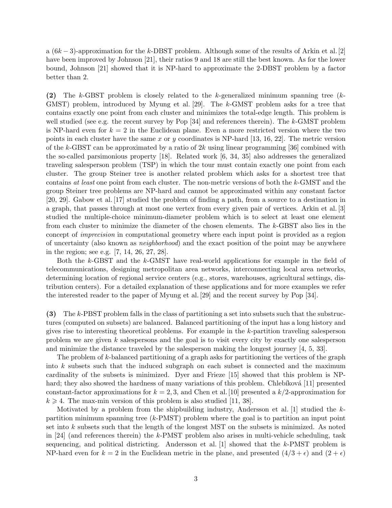a  $(6k-3)$ -approximation for the k-DBST problem. Although some of the results of Arkin et al. [\[2\]](#page-15-1) have been improved by Johnson [\[21\]](#page-16-0), their ratios 9 and 18 are still the best known. As for the lower bound, Johnson [\[21\]](#page-16-0) showed that it is NP-hard to approximate the 2-DBST problem by a factor better than 2.

(2) The k-GBST problem is closely related to the k-generalized minimum spanning tree (k-GMST) problem, introduced by Myung et al. [\[29\]](#page-16-1). The k-GMST problem asks for a tree that contains exactly one point from each cluster and minimizes the total-edge length. This problem is well studied (see e.g. the recent survey by Pop [\[34\]](#page-17-0) and references therein). The k-GMST problem is NP-hard even for  $k = 2$  in the Euclidean plane. Even a more restricted version where the two points in each cluster have the same x or y coordinates is NP-hard [\[13,](#page-15-2) [16,](#page-15-3) [22\]](#page-16-2). The metric version of the k-GBST can be approximated by a ratio of  $2k$  using linear programming [\[36\]](#page-17-1) combined with the so-called parsimonious property [\[18\]](#page-16-3). Related work [\[6,](#page-15-4) [34,](#page-17-0) [35\]](#page-17-2) also addresses the generalized traveling salesperson problem (TSP) in which the tour must contain exactly one point from each cluster. The group Steiner tree is another related problem which asks for a shortest tree that contains at least one point from each cluster. The non-metric versions of both the k-GMST and the group Steiner tree problems are NP-hard and cannot be approximated within any constant factor [\[20,](#page-16-4) [29\]](#page-16-1). Gabow et al. [\[17\]](#page-15-5) studied the problem of finding a path, from a source to a destination in a graph, that passes through at most one vertex from every given pair of vertices. Arkin et al. [\[3\]](#page-15-6) studied the multiple-choice minimum-diameter problem which is to select at least one element from each cluster to minimize the diameter of the chosen elements. The k-GBST also lies in the concept of imprecision in computational geometry where each input point is provided as a region of uncertainty (also known as neighborhood) and the exact position of the point may be anywhere in the region; see e.g. [\[7,](#page-15-7) [14,](#page-15-8) [26,](#page-16-5) [27,](#page-16-6) [28\]](#page-16-7).

Both the k-GBST and the k-GMST have real-world applications for example in the field of telecommunications, designing metropolitan area networks, interconnecting local area networks, determining location of regional service centers (e.g., stores, warehouses, agricultural settings, distribution centers). For a detailed explanation of these applications and for more examples we refer the interested reader to the paper of Myung et al. [\[29\]](#page-16-1) and the recent survey by Pop [\[34\]](#page-17-0).

(3) The k-PBST problem falls in the class of partitioning a set into subsets such that the substructures (computed on subsets) are balanced. Balanced partitioning of the input has a long history and gives rise to interesting theoretical problems. For example in the k-partition traveling salesperson problem we are given k salespersons and the goal is to visit every city by exactly one salesperson and minimize the distance traveled by the salesperson making the longest journey [\[4,](#page-15-9) [5,](#page-15-10) [33\]](#page-16-8).

The problem of k-balanced partitioning of a graph asks for partitioning the vertices of the graph into k subsets such that the induced subgraph on each subset is connected and the maximum cardinality of the subsets is minimized. Dyer and Frieze [\[15\]](#page-15-11) showed that this problem is NP-hard; they also showed the hardness of many variations of this problem. Chlebíková [\[11\]](#page-15-12) presented constant-factor approximations for  $k = 2, 3$ , and Chen et al. [\[10\]](#page-15-13) presented a  $k/2$ -approximation for  $k \geq 4$ . The max-min version of this problem is also studied [\[11,](#page-15-12) [38\]](#page-17-3).

Motivated by a problem from the shipbuilding industry, Andersson et al. [\[1\]](#page-14-0) studied the  $k$ partition minimum spanning tree  $(k$ -PMST) problem where the goal is to partition an input point set into k subsets such that the length of the longest MST on the subsets is minimized. As noted in [\[24\]](#page-16-9) (and references therein) the k-PMST problem also arises in multi-vehicle scheduling, task sequencing, and political districting. Andersson et al. [\[1\]](#page-14-0) showed that the k-PMST problem is NP-hard even for  $k = 2$  in the Euclidean metric in the plane, and presented  $(4/3 + \epsilon)$  and  $(2 + \epsilon)$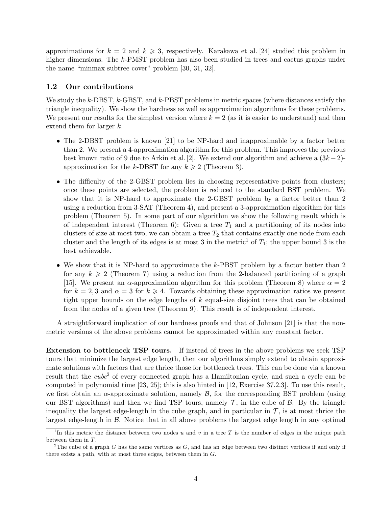approximations for  $k = 2$  and  $k \ge 3$ , respectively. Karakawa et al. [\[24\]](#page-16-9) studied this problem in higher dimensions. The k-PMST problem has also been studied in trees and cactus graphs under the name "minmax subtree cover" problem [\[30,](#page-16-10) [31,](#page-16-11) [32\]](#page-16-12).

#### 1.2 Our contributions

We study the  $k$ -DBST,  $k$ -GBST, and  $k$ -PBST problems in metric spaces (where distances satisfy the triangle inequality). We show the hardness as well as approximation algorithms for these problems. We present our results for the simplest version where  $k = 2$  (as it is easier to understand) and then extend them for larger  $k$ .

- The 2-DBST problem is known [\[21\]](#page-16-0) to be NP-hard and inapproximable by a factor better than 2. We present a 4-approximation algorithm for this problem. This improves the previous best known ratio of 9 due to Arkin et al. [\[2\]](#page-15-1). We extend our algorithm and achieve a  $(3k-2)$ approximation for the k-DBST for any  $k \geq 2$  (Theorem [3\)](#page-7-0).
- The difficulty of the 2-GBST problem lies in choosing representative points from clusters; once these points are selected, the problem is reduced to the standard BST problem. We show that it is NP-hard to approximate the 2-GBST problem by a factor better than 2 using a reduction from 3-SAT (Theorem [4\)](#page-7-1), and present a 3-approximation algorithm for this problem (Theorem [5\)](#page-8-0). In some part of our algorithm we show the following result which is of independent interest (Theorem [6\)](#page-9-0): Given a tree  $T_1$  and a partitioning of its nodes into clusters of size at most two, we can obtain a tree  $T_2$  that contains exactly one node from each cluster and the length of its edges is at most 3 in the metric<sup>[1](#page-3-0)</sup> of  $T_1$ ; the upper bound 3 is the best achievable.
- We show that it is NP-hard to approximate the k-PBST problem by a factor better than 2 for any  $k \geqslant 2$  (Theorem [7\)](#page-10-0) using a reduction from the 2-balanced partitioning of a graph [\[15\]](#page-15-11). We present an  $\alpha$ -approximation algorithm for this problem (Theorem [8\)](#page-11-0) where  $\alpha = 2$ for  $k = 2, 3$  and  $\alpha = 3$  for  $k \ge 4$ . Towards obtaining these approximation ratios we present tight upper bounds on the edge lengths of  $k$  equal-size disjoint trees that can be obtained from the nodes of a given tree (Theorem [9\)](#page-11-1). This result is of independent interest.

A straightforward implication of our hardness proofs and that of Johnson [\[21\]](#page-16-0) is that the nonmetric versions of the above problems cannot be approximated within any constant factor.

Extension to bottleneck TSP tours. If instead of trees in the above problems we seek TSP tours that minimize the largest edge length, then our algorithms simply extend to obtain approximate solutions with factors that are thrice those for bottleneck trees. This can be done via a known result that the *cube*<sup>[2](#page-3-1)</sup> of every connected graph has a Hamiltonian cycle, and such a cycle can be computed in polynomial time [\[23,](#page-16-13) [25\]](#page-16-14); this is also hinted in [\[12,](#page-15-14) Exercise 37.2.3]. To use this result, we first obtain an  $\alpha$ -approximate solution, namely  $\beta$ , for the corresponding BST problem (using our BST algorithms) and then we find TSP tours, namely  $\mathcal{T}$ , in the cube of  $\mathcal{B}$ . By the triangle inequality the largest edge-length in the cube graph, and in particular in  $\mathcal{T}$ , is at most thrice the largest edge-length in  $\beta$ . Notice that in all above problems the largest edge length in any optimal

<span id="page-3-0"></span><sup>&</sup>lt;sup>1</sup>In this metric the distance between two nodes u and v in a tree T is the number of edges in the unique path between them in T.

<span id="page-3-1"></span><sup>&</sup>lt;sup>2</sup>The cube of a graph G has the same vertices as  $G$ , and has an edge between two distinct vertices if and only if there exists a path, with at most three edges, between them in G.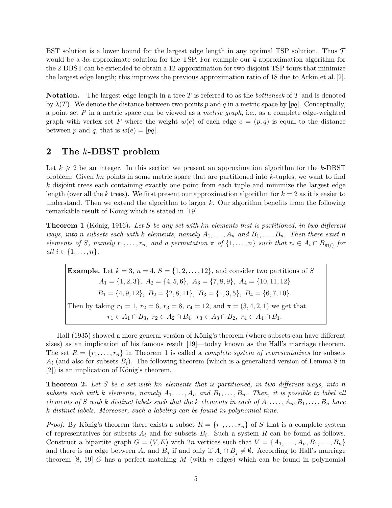BST solution is a lower bound for the largest edge length in any optimal TSP solution. Thus  $\mathcal T$ would be a  $3\alpha$ -approximate solution for the TSP. For example our 4-approximation algorithm for the 2-DBST can be extended to obtain a 12-approximation for two disjoint TSP tours that minimize the largest edge length; this improves the previous approximation ratio of 18 due to Arkin et al.[\[2\]](#page-15-1).

**Notation.** The largest edge length in a tree T is referred to as the *bottleneck* of T and is denoted by  $\lambda(T)$ . We denote the distance between two points p and q in a metric space by |pq|. Conceptually, a point set P in a metric space can be viewed as a metric graph, i.e., as a complete edge-weighted graph with vertex set P where the weight  $w(e)$  of each edge  $e = (p, q)$  is equal to the distance between p and q, that is  $w(e) = |pq|$ .

# 2 The k-DBST problem

Let  $k \geqslant 2$  be an integer. In this section we present an approximation algorithm for the k-DBST problem: Given kn points in some metric space that are partitioned into k-tuples, we want to find k disjoint trees each containing exactly one point from each tuple and minimize the largest edge length (over all the k trees). We first present our approximation algorithm for  $k = 2$  as it is easier to understand. Then we extend the algorithm to larger  $k$ . Our algorithm benefits from the following remarkable result of König which is stated in [\[19\]](#page-16-15).

<span id="page-4-0"></span>**Theorem 1** (König, 1916). Let S be any set with kn elements that is partitioned, in two different ways, into n subsets each with k elements, namely  $A_1, \ldots, A_n$  and  $B_1, \ldots, B_n$ . Then there exist n elements of S, namely  $r_1, \ldots, r_n$ , and a permutation  $\pi$  of  $\{1, \ldots, n\}$  such that  $r_i \in A_i \cap B_{\pi(i)}$  for all  $i \in \{1, \ldots, n\}$ .

**Example.** Let  $k = 3$ ,  $n = 4$ ,  $S = \{1, 2, \ldots, 12\}$ , and consider two partitions of S  $A_1 = \{1, 2, 3\}, A_2 = \{4, 5, 6\}, A_3 = \{7, 8, 9\}, A_4 = \{10, 11, 12\}$  $B_1 = \{4, 9, 12\}, B_2 = \{2, 8, 11\}, B_3 = \{1, 3, 5\}, B_4 = \{6, 7, 10\}.$ Then by taking  $r_1 = 1$ ,  $r_2 = 6$ ,  $r_3 = 8$ ,  $r_4 = 12$ , and  $\pi = (3, 4, 2, 1)$  we get that  $r_1 \in A_1 \cap B_3$ ,  $r_2 \in A_2 \cap B_4$ ,  $r_3 \in A_3 \cap B_2$ ,  $r_4 \in A_4 \cap B_1$ .

Hall (1935) showed a more general version of König's theorem (where subsets can have different sizes) as an implication of his famous result [\[19\]](#page-16-15)—today known as the Hall's marriage theorem. The set  $R = \{r_1, \ldots, r_n\}$  in Theorem [1](#page-4-0) is called a *complete system of representatives* for subsets  $A_i$  (and also for subsets  $B_i$ ). The following theorem (which is a generalized version of Lemma 8 in  $[2]$ ) is an implication of König's theorem.

<span id="page-4-1"></span>**Theorem 2.** Let S be a set with kn elements that is partitioned, in two different ways, into n subsets each with k elements, namely  $A_1, \ldots, A_n$  and  $B_1, \ldots, B_n$ . Then, it is possible to label all elements of S with k distinct labels such that the k elements in each of  $A_1, \ldots, A_n, B_1, \ldots, B_n$  have k distinct labels. Moreover, such a labeling can be found in polynomial time.

*Proof.* By König's theorem there exists a subset  $R = \{r_1, \ldots, r_n\}$  of S that is a complete system of representatives for subsets  $A_i$  and for subsets  $B_i$ . Such a system R can be found as follows. Construct a bipartite graph  $G = (V, E)$  with  $2n$  vertices such that  $V = \{A_1, \ldots, A_n, B_1, \ldots, B_n\}$ and there is an edge between  $A_i$  and  $B_j$  if and only if  $A_i \cap B_j \neq \emptyset$ . According to Hall's marriage theorem [\[8,](#page-15-15) [19\]](#page-16-15) G has a perfect matching M (with n edges) which can be found in polynomial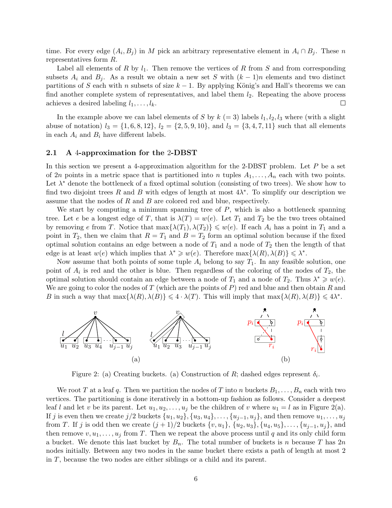time. For every edge  $(A_i, B_j)$  in M pick an arbitrary representative element in  $A_i \cap B_j$ . These n representatives form R.

Label all elements of R by  $l_1$ . Then remove the vertices of R from S and from corresponding subsets  $A_i$  and  $B_j$ . As a result we obtain a new set S with  $(k-1)n$  elements and two distinct partitions of S each with n subsets of size  $k - 1$ . By applying König's and Hall's theorems we can find another complete system of representatives, and label them  $l_2$ . Repeating the above process achieves a desired labeling  $l_1, \ldots, l_k$ .  $\Box$ 

In the example above we can label elements of S by  $k (= 3)$  labels  $l_1, l_2, l_3$  where (with a slight abuse of notation)  $l_3 = \{1, 6, 8, 12\}, l_2 = \{2, 5, 9, 10\}, \text{ and } l_3 = \{3, 4, 7, 11\}$  such that all elements in each  $A_i$  and  $B_i$  have different labels.

#### 2.1 A 4-approximation for the 2-DBST

In this section we present a 4-approximation algorithm for the 2-DBST problem. Let  $P$  be a set of 2n points in a metric space that is partitioned into n tuples  $A_1, \ldots, A_n$  each with two points. Let  $\lambda^*$  denote the bottleneck of a fixed optimal solution (consisting of two trees). We show how to find two disjoint trees R and B with edges of length at most  $4\lambda^*$ . To simplify our description we assume that the nodes of  $R$  and  $B$  are colored red and blue, respectively.

We start by computing a minimum spanning tree of  $P$ , which is also a bottleneck spanning tree. Let e be a longest edge of T, that is  $\lambda(T) = w(e)$ . Let  $T_1$  and  $T_2$  be the two trees obtained by removing e from T. Notice that  $\max{\{\lambda(T_1), \lambda(T_2)\}} \leq w(e)$ . If each  $A_i$  has a point in  $T_1$  and a point in  $T_2$ , then we claim that  $R = T_1$  and  $B = T_2$  form an optimal solution because if the fixed optimal solution contains an edge between a node of  $T_1$  and a node of  $T_2$  then the length of that edge is at least  $w(e)$  which implies that  $\lambda^* \geq w(e)$ . Therefore  $\max{\{\lambda(R), \lambda(B)\}} \leq \lambda^*$ .

Now assume that both points of some tuple  $A_i$  belong to say  $T_1$ . In any feasible solution, one point of  $A_i$  is red and the other is blue. Then regardless of the coloring of the nodes of  $T_2$ , the optimal solution should contain an edge between a node of  $T_1$  and a node of  $T_2$ . Thus  $\lambda^* \geq v(e)$ . We are going to color the nodes of T (which are the points of P) red and blue and then obtain R and B in such a way that  $\max{\{\lambda(R), \lambda(B)\}} \leq 4 \cdot \lambda(T)$ . This will imply that  $\max{\{\lambda(R), \lambda(B)\}} \leq 4\lambda^*$ .



<span id="page-5-0"></span>Figure 2: (a) Creating buckets. (a) Construction of R; dashed edges represent  $\delta_i$ .

We root T at a leaf q. Then we partition the nodes of T into n buckets  $B_1, \ldots, B_n$  each with two vertices. The partitioning is done iteratively in a bottom-up fashion as follows. Consider a deepest leaf l and let v be its parent. Let  $u_1, u_2, \ldots, u_j$  be the children of v where  $u_1 = l$  as in Figure [2\(](#page-5-0)a). If j is even then we create j/2 buckets  $\{u_1, u_2\}, \{u_3, u_4\}, \ldots, \{u_{j-1}, u_j\}$ , and then remove  $u_1, \ldots, u_j$ from T. If j is odd then we create  $(j + 1)/2$  buckets  $\{v, u_1\}$ ,  $\{u_2, u_3\}$ ,  $\{u_4, u_5\}$ , ...,  $\{u_{j-1}, u_j\}$ , and then remove  $v, u_1, \ldots, u_j$  from T. Then we repeat the above process until q and its only child form a bucket. We denote this last bucket by  $B_n$ . The total number of buckets is n because T has  $2n$ nodes initially. Between any two nodes in the same bucket there exists a path of length at most 2 in T, because the two nodes are either siblings or a child and its parent.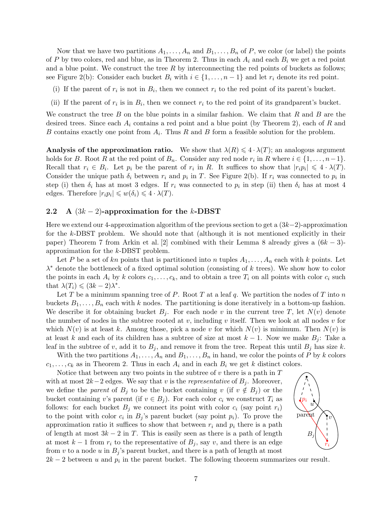Now that we have two partitions  $A_1, \ldots, A_n$  and  $B_1, \ldots, B_n$  of P, we color (or label) the points of P by two colors, red and blue, as in Theorem [2.](#page-4-1) Thus in each  $A_i$  and each  $B_i$  we get a red point and a blue point. We construct the tree  $R$  by interconnecting the red points of buckets as follows; see Figure [2\(](#page-5-0)b): Consider each bucket  $B_i$  with  $i \in \{1, \ldots, n-1\}$  and let  $r_i$  denote its red point.

- (i) If the parent of  $r_i$  is not in  $B_i$ , then we connect  $r_i$  to the red point of its parent's bucket.
- (ii) If the parent of  $r_i$  is in  $B_i$ , then we connect  $r_i$  to the red point of its grandparent's bucket.

We construct the tree B on the blue points in a similar fashion. We claim that R and B are the desired trees. Since each  $A_i$  contains a red point and a blue point (by Theorem [2\)](#page-4-1), each of R and B contains exactly one point from  $A_i$ . Thus R and B form a feasible solution for the problem.

Analysis of the approximation ratio. We show that  $\lambda(R) \leq 4 \cdot \lambda(T)$ ; an analogous argument holds for B. Root R at the red point of  $B_n$ . Consider any red node  $r_i$  in R where  $i \in \{1, \ldots, n-1\}$ . Recall that  $r_i \in B_i$ . Let  $p_i$  be the parent of  $r_i$  in R. It suffices to show that  $|r_i p_i| \leq 4 \cdot \lambda(T)$ . Consider the unique path  $\delta_i$  between  $r_i$  and  $p_i$  in T. See Figure [2\(](#page-5-0)b). If  $r_i$  was connected to  $p_i$  in step (i) then  $\delta_i$  has at most 3 edges. If  $r_i$  was connected to  $p_i$  in step (ii) then  $\delta_i$  has at most 4 edges. Therefore  $|r_i p_i| \leq w(\delta_i) \leq 4 \cdot \lambda(T)$ .

#### 2.2 A  $(3k-2)$ -approximation for the k-DBST

Here we extend our 4-approximation algorithm of the previous section to get a  $(3k-2)$ -approximation for the k-DBST problem. We should note that (although it is not mentioned explicitly in their paper) Theorem 7 from Arkin et al. [\[2\]](#page-15-1) combined with their Lemma 8 already gives a  $(6k-3)$ approximation for the k-DBST problem.

Let P be a set of kn points that is partitioned into n tuples  $A_1, \ldots, A_n$  each with k points. Let  $\lambda^*$  denote the bottleneck of a fixed optimal solution (consisting of k trees). We show how to color the points in each  $A_i$  by k colors  $c_1, \ldots, c_k$ , and to obtain a tree  $T_i$  on all points with color  $c_i$  such that  $\lambda(T_i) \leqslant (3k-2)\lambda^*$ .

Let T be a minimum spanning tree of P. Root T at a leaf q. We partition the nodes of T into  $n$ buckets  $B_1, \ldots, B_n$  each with k nodes. The partitioning is done iteratively in a bottom-up fashion. We describe it for obtaining bucket  $B_j$ . For each node v in the current tree T, let  $N(v)$  denote the number of nodes in the subtree rooted at v, including v itself. Then we look at all nodes v for which  $N(v)$  is at least k. Among those, pick a node v for which  $N(v)$  is minimum. Then  $N(v)$  is at least k and each of its children has a subtree of size at most  $k - 1$ . Now we make  $B_i$ : Take a leaf in the subtree of v, add it to  $B_i$ , and remove it from the tree. Repeat this until  $B_i$  has size k.

With the two partitions  $A_1, \ldots, A_n$  and  $B_1, \ldots, B_n$  in hand, we color the points of P by k colors  $c_1, \ldots, c_k$  as in Theorem [2.](#page-4-1) Thus in each  $A_i$  and in each  $B_i$  we get k distinct colors.

Notice that between any two points in the subtree of  $v$  there is a path in  $T$ with at most  $2k-2$  edges. We say that v is the *representative* of  $B_i$ . Moreover, we define the *parent* of  $B_j$  to be the bucket containing v (if  $v \notin B_j$ ) or the bucket containing v's parent (if  $v \in B_j$ ). For each color  $c_i$  we construct  $T_i$  as follows: for each bucket  $B_i$  we connect its point with color  $c_i$  (say point  $r_i$ ) to the point with color  $c_i$  in  $B_j$ 's parent bucket (say point  $p_i$ ). To prove the approximation ratio it suffices to show that between  $r_i$  and  $p_i$  there is a path of length at most  $3k - 2$  in T. This is easily seen as there is a path of length at most  $k-1$  from  $r_i$  to the representative of  $B_i$ , say v, and there is an edge from v to a node u in  $B_i$ 's parent bucket, and there is a path of length at most



 $2k-2$  between u and  $p_i$  in the parent bucket. The following theorem summarizes our result.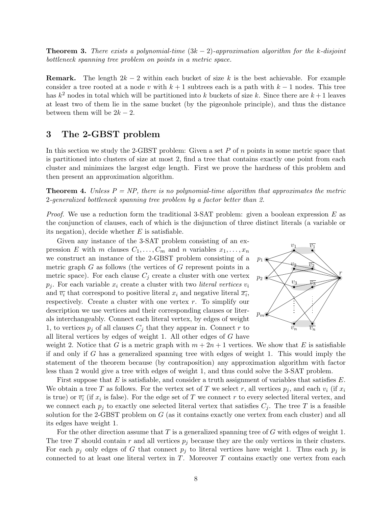<span id="page-7-0"></span>**Theorem 3.** There exists a polynomial-time  $(3k - 2)$ -approximation algorithm for the k-disjoint bottleneck spanning tree problem on points in a metric space.

**Remark.** The length  $2k - 2$  within each bucket of size k is the best achievable. For example consider a tree rooted at a node v with  $k + 1$  subtrees each is a path with  $k - 1$  nodes. This tree has  $k^2$  nodes in total which will be partitioned into k buckets of size k. Since there are  $k+1$  leaves at least two of them lie in the same bucket (by the pigeonhole principle), and thus the distance between them will be  $2k - 2$ .

### 3 The 2-GBST problem

In this section we study the 2-GBST problem: Given a set  $P$  of  $n$  points in some metric space that is partitioned into clusters of size at most 2, find a tree that contains exactly one point from each cluster and minimizes the largest edge length. First we prove the hardness of this problem and then present an approximation algorithm.

<span id="page-7-1"></span>**Theorem 4.** Unless  $P = NP$ , there is no polynomial-time algorithm that approximates the metric 2-generalized bottleneck spanning tree problem by a factor better than 2.

*Proof.* We use a reduction form the traditional 3-SAT problem: given a boolean expression E as the conjunction of clauses, each of which is the disjunction of three distinct literals (a variable or its negation), decide whether  $E$  is satisfiable.

Given any instance of the 3-SAT problem consisting of an expression E with m clauses  $C_1, \ldots, C_m$  and n variables  $x_1, \ldots, x_n$ we construct an instance of the 2-GBST problem consisting of a metric graph  $G$  as follows (the vertices of  $G$  represent points in a metric space). For each clause  $C_j$  create a cluster with one vertex  $p_j$ . For each variable  $x_i$  create a cluster with two *literal vertices*  $v_i$ and  $\overline{v_i}$  that correspond to positive literal  $x_i$  and negative literal  $\overline{x_i}$ , respectively. Create a cluster with one vertex r. To simplify our description we use vertices and their corresponding clauses or literals interchangeably. Connect each literal vertex, by edges of weight 1, to vertices  $p_i$  of all clauses  $C_i$  that they appear in. Connect r to all literal vertices by edges of weight 1. All other edges of G have



weight 2. Notice that G is a metric graph with  $m + 2n + 1$  vertices. We show that E is satisfiable if and only if G has a generalized spanning tree with edges of weight 1. This would imply the statement of the theorem because (by contraposition) any approximation algorithm with factor less than 2 would give a tree with edges of weight 1, and thus could solve the 3-SAT problem.

First suppose that  $E$  is satisfiable, and consider a truth assignment of variables that satisfies  $E$ . We obtain a tree T as follows. For the vertex set of T we select r, all vertices  $p_i$ , and each  $v_i$  (if  $x_i$ is true) or  $\overline{v_i}$  (if  $x_i$  is false). For the edge set of T we connect r to every selected literal vertex, and we connect each  $p_j$  to exactly one selected literal vertex that satisfies  $C_j$ . The tree T is a feasible solution for the 2-GBST problem on  $G$  (as it contains exactly one vertex from each cluster) and all its edges have weight 1.

For the other direction assume that  $T$  is a generalized spanning tree of  $G$  with edges of weight 1. The tree T should contain r and all vertices  $p_j$  because they are the only vertices in their clusters. For each  $p_i$  only edges of G that connect  $p_i$  to literal vertices have weight 1. Thus each  $p_i$  is connected to at least one literal vertex in  $T$ . Moreover  $T$  contains exactly one vertex from each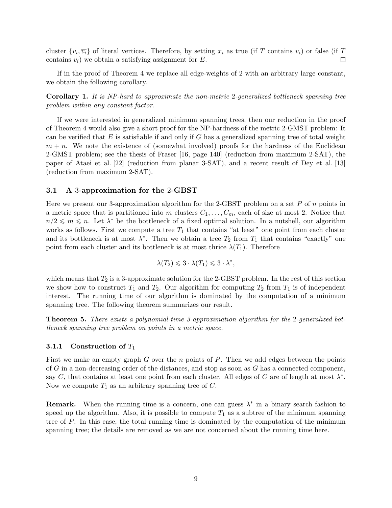cluster  $\{v_i, \overline{v_i}\}\$  of literal vertices. Therefore, by setting  $x_i$  as true (if T contains  $v_i$ ) or false (if T  $\Box$ contains  $\overline{v_i}$ ) we obtain a satisfying assignment for E.

If in the proof of Theorem [4](#page-7-1) we replace all edge-weights of 2 with an arbitrary large constant, we obtain the following corollary.

Corollary 1. It is NP-hard to approximate the non-metric 2-generalized bottleneck spanning tree problem within any constant factor.

If we were interested in generalized minimum spanning trees, then our reduction in the proof of Theorem [4](#page-7-1) would also give a short proof for the NP-hardness of the metric 2-GMST problem: It can be verified that  $E$  is satisfiable if and only if  $G$  has a generalized spanning tree of total weight  $m + n$ . We note the existence of (somewhat involved) proofs for the hardness of the Euclidean 2-GMST problem; see the thesis of Fraser [\[16,](#page-15-3) page 140] (reduction from maximum 2-SAT), the paper of Ataei et al. [\[22\]](#page-16-2) (reduction from planar 3-SAT), and a recent result of Dey et al. [\[13\]](#page-15-2) (reduction from maximum 2-SAT).

#### 3.1 A 3-approximation for the 2-GBST

Here we present our 3-approximation algorithm for the 2-GBST problem on a set  $P$  of  $n$  points in a metric space that is partitioned into m clusters  $C_1, \ldots, C_m$ , each of size at most 2. Notice that  $n/2 \leq m \leq n$ . Let  $\lambda^*$  be the bottleneck of a fixed optimal solution. In a nutshell, our algorithm works as follows. First we compute a tree  $T_1$  that contains "at least" one point from each cluster and its bottleneck is at most  $\lambda^*$ . Then we obtain a tree  $T_2$  from  $T_1$  that contains "exactly" one point from each cluster and its bottleneck is at most thrice  $\lambda(T_1)$ . Therefore

$$
\lambda(T_2) \leqslant 3 \cdot \lambda(T_1) \leqslant 3 \cdot \lambda^*,
$$

which means that  $T_2$  is a 3-approximate solution for the 2-GBST problem. In the rest of this section we show how to construct  $T_1$  and  $T_2$ . Our algorithm for computing  $T_2$  from  $T_1$  is of independent interest. The running time of our algorithm is dominated by the computation of a minimum spanning tree. The following theorem summarizes our result.

<span id="page-8-0"></span>Theorem 5. There exists a polynomial-time 3-approximation algorithm for the 2-generalized bottleneck spanning tree problem on points in a metric space.

#### **3.1.1** Construction of  $T_1$

First we make an empty graph  $G$  over the n points of  $P$ . Then we add edges between the points of  $G$  in a non-decreasing order of the distances, and stop as soon as  $G$  has a connected component, say C, that contains at least one point from each cluster. All edges of C are of length at most  $\lambda^*$ . Now we compute  $T_1$  as an arbitrary spanning tree of C.

**Remark.** When the running time is a concern, one can guess  $\lambda^*$  in a binary search fashion to speed up the algorithm. Also, it is possible to compute  $T_1$  as a subtree of the minimum spanning tree of P. In this case, the total running time is dominated by the computation of the minimum spanning tree; the details are removed as we are not concerned about the running time here.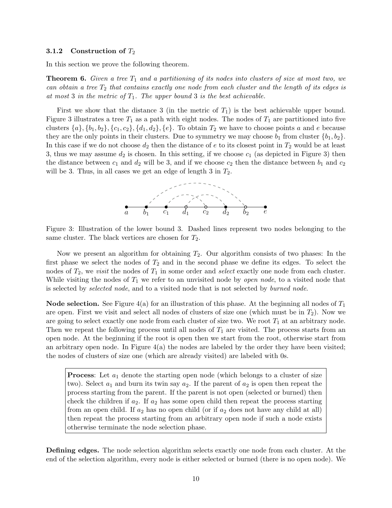#### 3.1.2 Construction of  $T_2$

In this section we prove the following theorem.

<span id="page-9-0"></span>**Theorem 6.** Given a tree  $T_1$  and a partitioning of its nodes into clusters of size at most two, we can obtain a tree  $T_2$  that contains exactly one node from each cluster and the length of its edges is at most 3 in the metric of  $T_1$ . The upper bound 3 is the best achievable.

First we show that the distance 3 (in the metric of  $T_1$ ) is the best achievable upper bound. Figure [3](#page-9-1) illustrates a tree  $T_1$  as a path with eight nodes. The nodes of  $T_1$  are partitioned into five clusters  $\{a\}, \{b_1, b_2\}, \{c_1, c_2\}, \{d_1, d_2\}, \{e\}$ . To obtain  $T_2$  we have to choose points a and e because they are the only points in their clusters. Due to symmetry we may choose  $b_1$  from cluster  $\{b_1, b_2\}$ . In this case if we do not choose  $d_2$  then the distance of e to its closest point in  $T_2$  would be at least 3, thus we may assume  $d_2$  is chosen. In this setting, if we choose  $c_1$  (as depicted in Figure [3\)](#page-9-1) then the distance between  $c_1$  and  $d_2$  will be 3, and if we choose  $c_2$  then the distance between  $b_1$  and  $c_2$ will be 3. Thus, in all cases we get an edge of length 3 in  $T_2$ .



<span id="page-9-1"></span>Figure 3: Illustration of the lower bound 3. Dashed lines represent two nodes belonging to the same cluster. The black vertices are chosen for  $T_2$ .

Now we present an algorithm for obtaining  $T_2$ . Our algorithm consists of two phases: In the first phase we select the nodes of  $T_2$  and in the second phase we define its edges. To select the nodes of  $T_2$ , we *visit* the nodes of  $T_1$  in some order and *select* exactly one node from each cluster. While visiting the nodes of  $T_1$  we refer to an unvisited node by *open node*, to a visited node that is selected by selected node, and to a visited node that is not selected by burned node.

**Node selection.** See Figure [4\(](#page-10-1)a) for an illustration of this phase. At the beginning all nodes of  $T_1$ are open. First we visit and select all nodes of clusters of size one (which must be in  $T_2$ ). Now we are going to select exactly one node from each cluster of size two. We root  $T_1$  at an arbitrary node. Then we repeat the following process until all nodes of  $T_1$  are visited. The process starts from an open node. At the beginning if the root is open then we start from the root, otherwise start from an arbitrary open node. In Figure  $4(a)$  the nodes are labeled by the order they have been visited; the nodes of clusters of size one (which are already visited) are labeled with 0s.

**Process:** Let  $a_1$  denote the starting open node (which belongs to a cluster of size two). Select  $a_1$  and burn its twin say  $a_2$ . If the parent of  $a_2$  is open then repeat the process starting from the parent. If the parent is not open (selected or burned) then check the children if  $a_2$ . If  $a_2$  has some open child then repeat the process starting from an open child. If  $a_2$  has no open child (or if  $a_2$  does not have any child at all) then repeat the process starting from an arbitrary open node if such a node exists otherwise terminate the node selection phase.

Defining edges. The node selection algorithm selects exactly one node from each cluster. At the end of the selection algorithm, every node is either selected or burned (there is no open node). We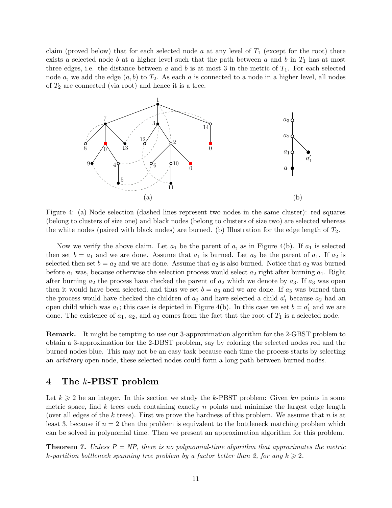claim (proved below) that for each selected node a at any level of  $T_1$  (except for the root) there exists a selected node b at a higher level such that the path between a and b in  $T_1$  has at most three edges, i.e. the distance between a and b is at most 3 in the metric of  $T_1$ . For each selected node a, we add the edge  $(a, b)$  to  $T_2$ . As each a is connected to a node in a higher level, all nodes of  $T_2$  are connected (via root) and hence it is a tree.



<span id="page-10-1"></span>Figure 4: (a) Node selection (dashed lines represent two nodes in the same cluster): red squares (belong to clusters of size one) and black nodes (belong to clusters of size two) are selected whereas the white nodes (paired with black nodes) are burned. (b) Illustration for the edge length of  $T_2$ .

Now we verify the above claim. Let  $a_1$  be the parent of a, as in Figure [4\(](#page-10-1)b). If  $a_1$  is selected then set  $b = a_1$  and we are done. Assume that  $a_1$  is burned. Let  $a_2$  be the parent of  $a_1$ . If  $a_2$  is selected then set  $b = a_2$  and we are done. Assume that  $a_2$  is also burned. Notice that  $a_2$  was burned before  $a_1$  was, because otherwise the selection process would select  $a_2$  right after burning  $a_1$ . Right after burning  $a_2$  the process have checked the parent of  $a_2$  which we denote by  $a_3$ . If  $a_3$  was open then it would have been selected, and thus we set  $b = a_3$  and we are done. If  $a_3$  was burned then the process would have checked the children of  $a_2$  and have selected a child  $a'_1$  because  $a_2$  had an open child which was  $a_1$ ; this case is depicted in Figure [4\(](#page-10-1)b). In this case we set  $b = a'_1$  and we are done. The existence of  $a_1, a_2$ , and  $a_3$  comes from the fact that the root of  $T_1$  is a selected node.

Remark. It might be tempting to use our 3-approximation algorithm for the 2-GBST problem to obtain a 3-approximation for the 2-DBST problem, say by coloring the selected nodes red and the burned nodes blue. This may not be an easy task because each time the process starts by selecting an arbitrary open node, these selected nodes could form a long path between burned nodes.

## 4 The k-PBST problem

Let  $k \geq 2$  be an integer. In this section we study the k-PBST problem: Given kn points in some metric space, find  $k$  trees each containing exactly  $n$  points and minimize the largest edge length (over all edges of the k trees). First we prove the hardness of this problem. We assume that  $n$  is at least 3, because if  $n = 2$  then the problem is equivalent to the bottleneck matching problem which can be solved in polynomial time. Then we present an approximation algorithm for this problem.

<span id="page-10-0"></span>**Theorem 7.** Unless  $P = NP$ , there is no polynomial-time algorithm that approximates the metric k-partition bottleneck spanning tree problem by a factor better than 2, for any  $k \geq 2$ .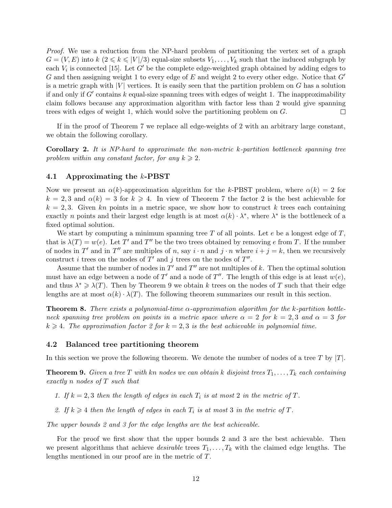Proof. We use a reduction from the NP-hard problem of partitioning the vertex set of a graph  $G = (V, E)$  into  $k \ (2 \leq k \leq |V|/3)$  equal-size subsets  $V_1, \ldots, V_k$  such that the induced subgraph by each  $V_i$  is connected [\[15\]](#page-15-11). Let G' be the complete edge-weighted graph obtained by adding edges to G and then assigning weight 1 to every edge of E and weight 2 to every other edge. Notice that  $G'$ is a metric graph with  $|V|$  vertices. It is easily seen that the partition problem on G has a solution if and only if  $G'$  contains k equal-size spanning trees with edges of weight 1. The inapproximability claim follows because any approximation algorithm with factor less than 2 would give spanning trees with edges of weight 1, which would solve the partitioning problem on G.  $\Box$ 

If in the proof of Theorem [7](#page-10-0) we replace all edge-weights of 2 with an arbitrary large constant, we obtain the following corollary.

Corollary 2. It is NP-hard to approximate the non-metric k-partition bottleneck spanning tree problem within any constant factor, for any  $k \geq 2$ .

#### 4.1 Approximating the k-PBST

Now we present an  $\alpha(k)$ -approximation algorithm for the k-PBST problem, where  $\alpha(k) = 2$  for  $k = 2, 3$  and  $\alpha(k) = 3$  for  $k \ge 4$ . In view of Theorem [7](#page-10-0) the factor 2 is the best achievable for  $k = 2, 3$ . Given kn points in a metric space, we show how to construct k trees each containing exactly *n* points and their largest edge length is at most  $\alpha(k) \cdot \lambda^*$ , where  $\lambda^*$  is the bottleneck of a fixed optimal solution.

We start by computing a minimum spanning tree T of all points. Let  $e$  be a longest edge of  $T$ , that is  $\lambda(T) = w(e)$ . Let T' and T'' be the two trees obtained by removing e from T. If the number of nodes in T' and in T'' are multiples of n, say  $i \cdot n$  and  $j \cdot n$  where  $i + j = k$ , then we recursively construct *i* trees on the nodes of  $T'$  and *j* trees on the nodes of  $T''$ .

Assume that the number of nodes in  $T'$  and  $T''$  are not multiples of k. Then the optimal solution must have an edge between a node of T' and a node of T''. The length of this edge is at least  $w(e)$ , and thus  $\lambda^* \geq \lambda(T)$ . Then by Theorem [9](#page-11-1) we obtain k trees on the nodes of T such that their edge lengths are at most  $\alpha(k) \cdot \lambda(T)$ . The following theorem summarizes our result in this section.

<span id="page-11-0"></span>**Theorem 8.** There exists a polynomial-time  $\alpha$ -approximation algorithm for the k-partition bottleneck spanning tree problem on points in a metric space where  $\alpha = 2$  for  $k = 2, 3$  and  $\alpha = 3$  for  $k \geq 4$ . The approximation factor 2 for  $k = 2, 3$  is the best achievable in polynomial time.

#### 4.2 Balanced tree partitioning theorem

In this section we prove the following theorem. We denote the number of nodes of a tree T by  $|T|$ .

<span id="page-11-1"></span>**Theorem 9.** Given a tree T with kn nodes we can obtain k disjoint trees  $T_1, \ldots, T_k$  each containing exactly n nodes of T such that

1. If  $k = 2, 3$  then the length of edges in each  $T_i$  is at most 2 in the metric of T.

2. If  $k \geq 4$  then the length of edges in each  $T_i$  is at most 3 in the metric of T.

The upper bounds 2 and 3 for the edge lengths are the best achievable.

For the proof we first show that the upper bounds 2 and 3 are the best achievable. Then we present algorithms that achieve *desirable* trees  $T_1, \ldots, T_k$  with the claimed edge lengths. The lengths mentioned in our proof are in the metric of T.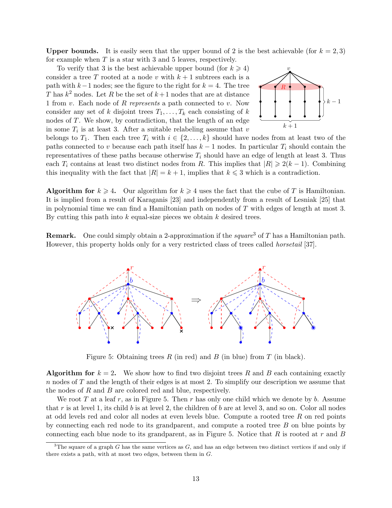**Upper bounds.** It is easily seen that the upper bound of 2 is the best achievable (for  $k = 2, 3$ ) for example when  $T$  is a star with 3 and 5 leaves, respectively.

To verify that 3 is the best achievable upper bound (for  $k \geq 4$ ) consider a tree T rooted at a node v with  $k+1$  subtrees each is a path with  $k-1$  nodes; see the figure to the right for  $k = 4$ . The tree T has  $k^2$  nodes. Let R be the set of  $k+1$  nodes that are at distance 1 from  $v$ . Each node of  $R$  represents a path connected to  $v$ . Now consider any set of k disjoint trees  $T_1, \ldots, T_k$  each consisting of k nodes of T. We show, by contradiction, that the length of an edge in some  $T_i$  is at least 3. After a suitable relabeling assume that v



belongs to  $T_1$ . Then each tree  $T_i$  with  $i \in \{2, ..., k\}$  should have nodes from at least two of the paths connected to v because each path itself has  $k-1$  nodes. In particular  $T_i$  should contain the representatives of these paths because otherwise  $T_i$  should have an edge of length at least 3. Thus each  $T_i$  contains at least two distinct nodes from R. This implies that  $|R| \geq 2(k-1)$ . Combining this inequality with the fact that  $|R| = k + 1$ , implies that  $k \leq 3$  which is a contradiction.

Algorithm for  $k \geq 4$ . Our algorithm for  $k \geq 4$  uses the fact that the cube of T is Hamiltonian. It is implied from a result of Karaganis [\[23\]](#page-16-13) and independently from a result of Lesniak [\[25\]](#page-16-14) that in polynomial time we can find a Hamiltonian path on nodes of  $T$  with edges of length at most 3. By cutting this path into  $k$  equal-size pieces we obtain  $k$  desired trees.

**Remark.** One could simply obtain a 2-approximation if the square<sup>[3](#page-12-0)</sup> of T has a Hamiltonian path. However, this property holds only for a very restricted class of trees called horsetail [\[37\]](#page-17-4).



<span id="page-12-1"></span>Figure 5: Obtaining trees R (in red) and B (in blue) from T (in black).

**Algorithm for**  $k = 2$ . We show how to find two disjoint trees R and B each containing exactly n nodes of T and the length of their edges is at most 2. To simplify our description we assume that the nodes of  $R$  and  $B$  are colored red and blue, respectively.

We root T at a leaf r, as in Figure [5.](#page-12-1) Then r has only one child which we denote by b. Assume that r is at level 1, its child b is at level 2, the children of b are at level 3, and so on. Color all nodes at odd levels red and color all nodes at even levels blue. Compute a rooted tree R on red points by connecting each red node to its grandparent, and compute a rooted tree B on blue points by connecting each blue node to its grandparent, as in Figure [5.](#page-12-1) Notice that  $R$  is rooted at  $r$  and  $B$ 

<span id="page-12-0"></span><sup>&</sup>lt;sup>3</sup>The square of a graph G has the same vertices as G, and has an edge between two distinct vertices if and only if there exists a path, with at most two edges, between them in G.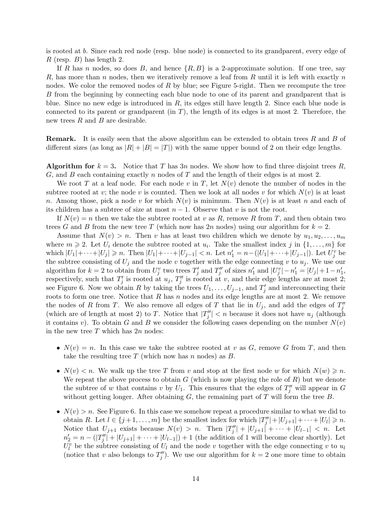is rooted at b. Since each red node (resp. blue node) is connected to its grandparent, every edge of  $R$  (resp.  $B$ ) has length 2.

If R has n nodes, so does B, and hence  $\{R, B\}$  is a 2-approximate solution. If one tree, say R, has more than n nodes, then we iteratively remove a leaf from R until it is left with exactly n nodes. We color the removed nodes of R by blue; see Figure [5-](#page-12-1)right. Then we recompute the tree B from the beginning by connecting each blue node to one of its parent and grandparent that is blue. Since no new edge is introduced in  $R$ , its edges still have length 2. Since each blue node is connected to its parent or grandparent (in  $T$ ), the length of its edges is at most 2. Therefore, the new trees  $R$  and  $B$  are desirable.

**Remark.** It is easily seen that the above algorithm can be extended to obtain trees R and B of different sizes (as long as  $|R| + |B| = |T|$ ) with the same upper bound of 2 on their edge lengths.

**Algorithm for**  $k = 3$ . Notice that T has 3n nodes. We show how to find three disjoint trees R, G, and B each containing exactly n nodes of T and the length of their edges is at most 2.

We root T at a leaf node. For each node v in T, let  $N(v)$  denote the number of nodes in the subtree rooted at v; the node v is counted. Then we look at all nodes v for which  $N(v)$  is at least n. Among those, pick a node v for which  $N(v)$  is minimum. Then  $N(v)$  is at least n and each of its children has a subtree of size at most  $n-1$ . Observe that v is not the root.

If  $N(v) = n$  then we take the subtree rooted at v as R, remove R from T, and then obtain two trees G and B from the new tree T (which now has 2n nodes) using our algorithm for  $k = 2$ .

Assume that  $N(v) > n$ . Then v has at least two children which we denote by  $u_1, u_2, \ldots, u_m$ where  $m \geq 2$ . Let  $U_i$  denote the subtree rooted at  $u_i$ . Take the smallest index j in  $\{1, \ldots, m\}$  for which  $|U_1| + \cdots + |U_j| \geq n$ . Then  $|U_1| + \cdots + |U_{j-1}| < n$ . Let  $n'_1 = n - (|U_1| + \cdots + |U_{j-1}|)$ . Let  $U_j^v$  be the subtree consisting of  $U_j$  and the node v together with the edge connecting v to  $u_j$ . We use our algorithm for  $k = 2$  to obtain from  $U_j^v$  two trees  $T_j'$  and  $T_j''$  of sizes  $n'_1$  and  $|U_j^v| - n'_1 = |U_j| + 1 - n'_1$ , respectively, such that  $T'_j$  is rooted at  $u_j$ ,  $T''_j$  is rooted at v, and their edge lengths are at most 2; see Figure [6.](#page-14-1) Now we obtain R by taking the trees  $U_1, \ldots, U_{j-1}$ , and  $T'_j$  and interconnecting their roots to form one tree. Notice that  $R$  has n nodes and its edge lengths are at most 2. We remove the nodes of R from T. We also remove all edges of T that lie in  $U_j$ , and add the edges of  $T''_j$ (which are of length at most 2) to T. Notice that  $|T''_j| < n$  because it does not have  $u_j$  (although it contains v). To obtain G and B we consider the following cases depending on the number  $N(v)$ in the new tree  $T$  which has  $2n$  nodes:

- $N(v) = n$ . In this case we take the subtree rooted at v as G, remove G from T, and then take the resulting tree  $T$  (which now has n nodes) as  $B$ .
- $N(v) < n$ . We walk up the tree T from v and stop at the first node w for which  $N(w) \geq n$ . We repeat the above process to obtain  $G$  (which is now playing the role of  $R$ ) but we denote the subtree of w that contains v by  $U_1$ . This ensures that the edges of  $T''_j$  will appear in G without getting longer. After obtaining  $G$ , the remaining part of  $T$  will form the tree  $B$ .
- $N(v) > n$ . See Figure [6.](#page-14-1) In this case we somehow repeat a procedure similar to what we did to obtain R. Let  $l \in \{j+1,\ldots,m\}$  be the smallest index for which  $|T''_j| + |U_{j+1}| + \cdots + |U_l| \geq n$ . Notice that  $U_{j+1}$  exists because  $N(v) > n$ . Then  $|T''_j| + |U_{j+1}| + \cdots + |U_{l-1}| < n$ . Let  $n'_2 = n - (|T''_j| + |U_{j+1}| + \cdots + |U_{l-1}|) + 1$  (the addition of 1 will become clear shortly). Let  $U_l^v$  be the subtree consisting of  $U_l$  and the node v together with the edge connecting v to  $u_l$ (notice that v also belongs to  $T''_j$ ). We use our algorithm for  $k = 2$  one more time to obtain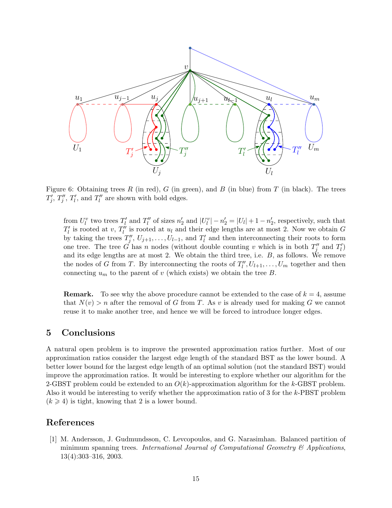

<span id="page-14-1"></span>Figure 6: Obtaining trees R (in red), G (in green), and B (in blue) from T (in black). The trees  $T'_j$ ,  $T''_j$ ,  $T'_l$ , and  $T''_l$  are shown with bold edges.

from  $U_l^v$  two trees  $T_l'$  and  $T_l''$  of sizes  $n'_2$  and  $|U_l^v| - n'_2 = |U_l| + 1 - n'_2$ , respectively, such that  $T'_{l}$  is rooted at  $v, T''_{l}$  is rooted at  $u_{l}$  and their edge lengths are at most 2. Now we obtain G by taking the trees  $T''_j, U_{j+1}, \ldots, U_{l-1}$ , and  $T'_l$  and then interconnecting their roots to form one tree. The tree G has n nodes (without double counting v which is in both  $T''_j$  and  $T'_l$ ) and its edge lengths are at most 2. We obtain the third tree, i.e. B, as follows. We remove the nodes of G from T. By interconnecting the roots of  $T_l'', U_{l+1}, \ldots, U_m$  together and then connecting  $u_m$  to the parent of v (which exists) we obtain the tree B.

**Remark.** To see why the above procedure cannot be extended to the case of  $k = 4$ , assume that  $N(v) > n$  after the removal of G from T. As v is already used for making G we cannot reuse it to make another tree, and hence we will be forced to introduce longer edges.

# 5 Conclusions

A natural open problem is to improve the presented approximation ratios further. Most of our approximation ratios consider the largest edge length of the standard BST as the lower bound. A better lower bound for the largest edge length of an optimal solution (not the standard BST) would improve the approximation ratios. It would be interesting to explore whether our algorithm for the 2-GBST problem could be extended to an  $O(k)$ -approximation algorithm for the k-GBST problem. Also it would be interesting to verify whether the approximation ratio of 3 for the k-PBST problem  $(k \geq 4)$  is tight, knowing that 2 is a lower bound.

### References

<span id="page-14-0"></span>[1] M. Andersson, J. Gudmundsson, C. Levcopoulos, and G. Narasimhan. Balanced partition of minimum spanning trees. International Journal of Computational Geometry  $\mathcal{B}$  Applications, 13(4):303–316, 2003.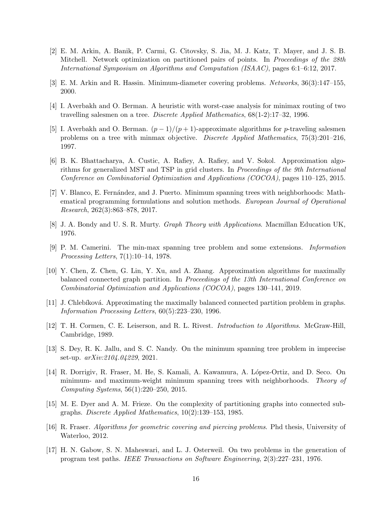- <span id="page-15-1"></span>[2] E. M. Arkin, A. Banik, P. Carmi, G. Citovsky, S. Jia, M. J. Katz, T. Mayer, and J. S. B. Mitchell. Network optimization on partitioned pairs of points. In Proceedings of the 28th International Symposium on Algorithms and Computation (ISAAC), pages 6:1–6:12, 2017.
- <span id="page-15-6"></span>[3] E. M. Arkin and R. Hassin. Minimum-diameter covering problems. Networks, 36(3):147–155, 2000.
- <span id="page-15-9"></span>[4] I. Averbakh and O. Berman. A heuristic with worst-case analysis for minimax routing of two travelling salesmen on a tree. Discrete Applied Mathematics, 68(1-2):17–32, 1996.
- <span id="page-15-10"></span>[5] I. Averbakh and O. Berman.  $(p-1)/(p+1)$ -approximate algorithms for p-traveling salesmen problems on a tree with minmax objective. Discrete Applied Mathematics, 75(3):201–216, 1997.
- <span id="page-15-4"></span>[6] B. K. Bhattacharya, A. Custic, A. Rafiey, A. Rafiey, and V. Sokol. Approximation algorithms for generalized MST and TSP in grid clusters. In *Proceedings of the 9th International* Conference on Combinatorial Optimization and Applications (COCOA), pages 110–125, 2015.
- <span id="page-15-7"></span>[7] V. Blanco, E. Fern´andez, and J. Puerto. Minimum spanning trees with neighborhoods: Mathematical programming formulations and solution methods. European Journal of Operational Research, 262(3):863–878, 2017.
- <span id="page-15-15"></span>[8] J. A. Bondy and U. S. R. Murty. Graph Theory with Applications. Macmillan Education UK, 1976.
- <span id="page-15-0"></span>[9] P. M. Camerini. The min-max spanning tree problem and some extensions. Information Processing Letters, 7(1):10–14, 1978.
- <span id="page-15-13"></span>[10] Y. Chen, Z. Chen, G. Lin, Y. Xu, and A. Zhang. Approximation algorithms for maximally balanced connected graph partition. In Proceedings of the 13th International Conference on Combinatorial Optimization and Applications (COCOA), pages 130–141, 2019.
- <span id="page-15-12"></span>[11] J. Chlebíková. Approximating the maximally balanced connected partition problem in graphs. Information Processing Letters, 60(5):223–230, 1996.
- <span id="page-15-14"></span>[12] T. H. Cormen, C. E. Leiserson, and R. L. Rivest. Introduction to Algorithms. McGraw-Hill, Cambridge, 1989.
- <span id="page-15-2"></span>[13] S. Dey, R. K. Jallu, and S. C. Nandy. On the minimum spanning tree problem in imprecise set-up. arXiv:2104.04229, 2021.
- <span id="page-15-8"></span>[14] R. Dorrigiv, R. Fraser, M. He, S. Kamali, A. Kawamura, A. L´opez-Ortiz, and D. Seco. On minimum- and maximum-weight minimum spanning trees with neighborhoods. Theory of Computing Systems, 56(1):220–250, 2015.
- <span id="page-15-11"></span>[15] M. E. Dyer and A. M. Frieze. On the complexity of partitioning graphs into connected subgraphs. Discrete Applied Mathematics, 10(2):139–153, 1985.
- <span id="page-15-3"></span>[16] R. Fraser. Algorithms for geometric covering and piercing problems. Phd thesis, University of Waterloo, 2012.
- <span id="page-15-5"></span>[17] H. N. Gabow, S. N. Maheswari, and L. J. Osterweil. On two problems in the generation of program test paths. IEEE Transactions on Software Engineering, 2(3):227–231, 1976.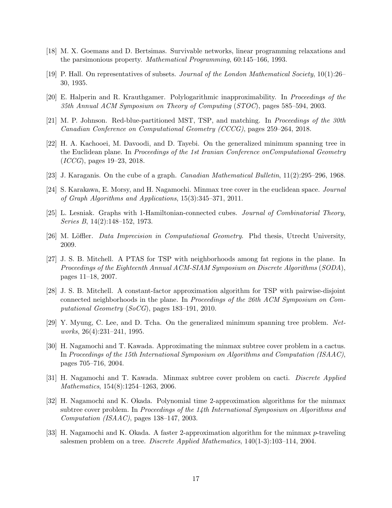- <span id="page-16-3"></span>[18] M. X. Goemans and D. Bertsimas. Survivable networks, linear programming relaxations and the parsimonious property. Mathematical Programming, 60:145–166, 1993.
- <span id="page-16-15"></span>[19] P. Hall. On representatives of subsets. Journal of the London Mathematical Society, 10(1):26– 30, 1935.
- <span id="page-16-4"></span>[20] E. Halperin and R. Krauthgamer. Polylogarithmic inapproximability. In Proceedings of the 35th Annual ACM Symposium on Theory of Computing (STOC), pages 585–594, 2003.
- <span id="page-16-0"></span>[21] M. P. Johnson. Red-blue-partitioned MST, TSP, and matching. In Proceedings of the 30th Canadian Conference on Computational Geometry (CCCG), pages 259–264, 2018.
- <span id="page-16-2"></span>[22] H. A. Kachooei, M. Davoodi, and D. Tayebi. On the generalized minimum spanning tree in the Euclidean plane. In Proceedings of the 1st Iranian Conference onComputational Geometry (ICCG), pages 19–23, 2018.
- <span id="page-16-13"></span>[23] J. Karaganis. On the cube of a graph. Canadian Mathematical Bulletin, 11(2):295–296, 1968.
- <span id="page-16-9"></span>[24] S. Karakawa, E. Morsy, and H. Nagamochi. Minmax tree cover in the euclidean space. Journal of Graph Algorithms and Applications, 15(3):345–371, 2011.
- <span id="page-16-14"></span>[25] L. Lesniak. Graphs with 1-Hamiltonian-connected cubes. Journal of Combinatorial Theory, Series B, 14(2):148–152, 1973.
- <span id="page-16-5"></span>[26] M. Löffler. Data Imprecision in Computational Geometry. Phd thesis, Utrecht University, 2009.
- <span id="page-16-6"></span>[27] J. S. B. Mitchell. A PTAS for TSP with neighborhoods among fat regions in the plane. In Proceedings of the Eighteenth Annual ACM-SIAM Symposium on Discrete Algorithms (SODA), pages 11–18, 2007.
- <span id="page-16-7"></span>[28] J. S. B. Mitchell. A constant-factor approximation algorithm for TSP with pairwise-disjoint connected neighborhoods in the plane. In Proceedings of the 26th ACM Symposium on Computational Geometry (SoCG), pages 183–191, 2010.
- <span id="page-16-1"></span>[29] Y. Myung, C. Lee, and D. Tcha. On the generalized minimum spanning tree problem. Networks, 26(4):231–241, 1995.
- <span id="page-16-10"></span>[30] H. Nagamochi and T. Kawada. Approximating the minmax subtree cover problem in a cactus. In Proceedings of the 15th International Symposium on Algorithms and Computation (ISAAC), pages 705–716, 2004.
- <span id="page-16-11"></span>[31] H. Nagamochi and T. Kawada. Minmax subtree cover problem on cacti. Discrete Applied Mathematics, 154(8):1254–1263, 2006.
- <span id="page-16-12"></span>[32] H. Nagamochi and K. Okada. Polynomial time 2-approximation algorithms for the minmax subtree cover problem. In Proceedings of the 14th International Symposium on Algorithms and Computation (ISAAC), pages 138–147, 2003.
- <span id="page-16-8"></span>[33] H. Nagamochi and K. Okada. A faster 2-approximation algorithm for the minmax p-traveling salesmen problem on a tree. Discrete Applied Mathematics, 140(1-3):103–114, 2004.